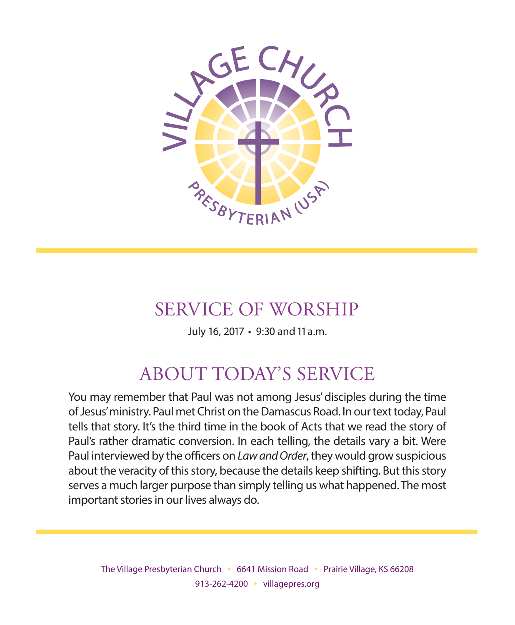

# SERVICE OF WORSHIP

July 16, 2017 • 9:30 and 11 a.m.

# ABOUT TODAY'S SERVICE

You may remember that Paul was not among Jesus' disciples during the time of Jesus' ministry. Paul met Christ on the Damascus Road. In our text today, Paul tells that story. It's the third time in the book of Acts that we read the story of Paul's rather dramatic conversion. In each telling, the details vary a bit. Were Paul interviewed by the officers on *Law and Order*, they would grow suspicious about the veracity of this story, because the details keep shifting. But this story serves a much larger purpose than simply telling us what happened. The most important stories in our lives always do.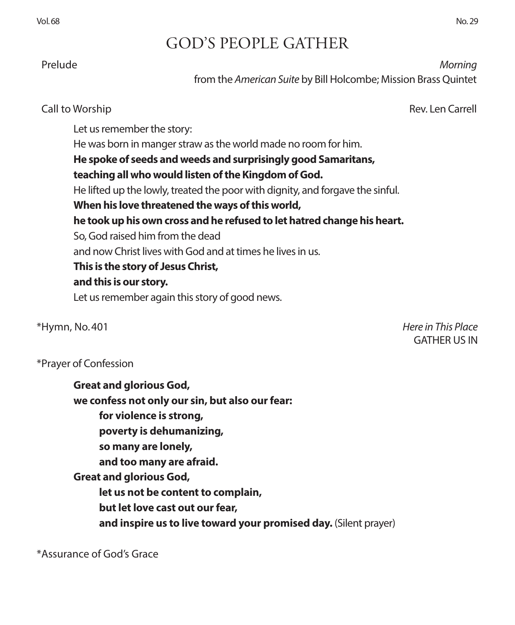Vol. 68 No. 29

# GOD'S PEOPLE GATHER

Prelude *Morning*

from the *American Suite* by Bill Holcombe; Mission Brass Quintet

### Call to Worship Rev. Len Carrell

Let us remember the story: He was born in manger straw as the world made no room for him. **He spoke of seeds and weeds and surprisingly good Samaritans, teaching all who would listen of the Kingdom of God.**  He lifted up the lowly, treated the poor with dignity, and forgave the sinful. **When his love threatened the ways of this world, he took up his own cross and he refused to let hatred change his heart.**  So, God raised him from the dead and now Christ lives with God and at times he lives in us. **This is the story of Jesus Christ, and this is our story.**  Let us remember again this story of good news.

\*Hymn, No. 401 *Here in This Place* GATHER US IN

### \*Prayer of Confession

**Great and glorious God, we confess not only our sin, but also our fear: for violence is strong, poverty is dehumanizing, so many are lonely, and too many are afraid. Great and glorious God, let us not be content to complain, but let love cast out our fear, and inspire us to live toward your promised day.** (Silent prayer)

\*Assurance of God's Grace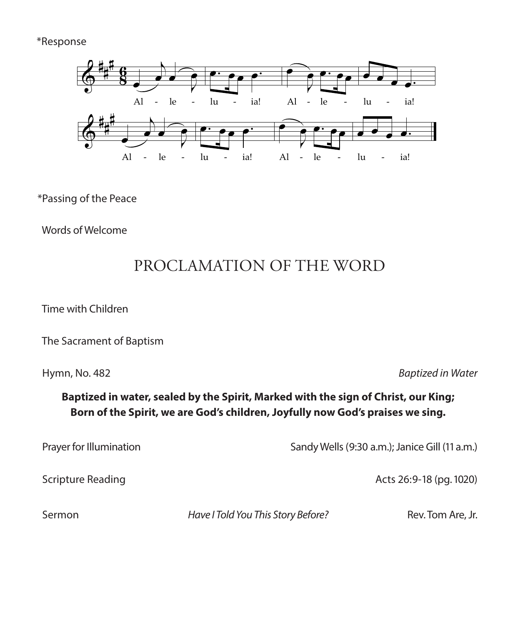### \*Response



### \*Passing of the Peace of the Peace Walker, 1985 Fintan O'Carroll, 1985 Fintan O'Carroll and Christopher Walker Walker Walker (Published by OCP)

Words of Welcome

# PROCLAMATION OF THE WORD

Time with Children

The Sacrament of Baptism

 $0.48$ o. 48.  $\ddot{\ }$ 

Hymn, No. 482 **Baptized in Water** 

### un, ivo. 462<br>Baptized in water, sealed by the Spirit, Marked with the sign of Christ, our King; .<br>Born of the Spirit, we are God's children, Joyfully now God's praises we sing. *n* the Spirit, we are god's children, Jo

r Illumination  $\mathbf{e}$ <br> $\mathbf{e}$ 

Prayer for Illumination **Exercise 2** Candy Wells (9:30 a.m.); Janice Gill (11 a.m.)  $\begin{array}{c} \text{Send}(\mathcal{W}) = \begin{array}{c} \text{Send}(\mathcal{W}) = \begin{array}{c} \text{Send}(\mathcal{W}) = \begin{array}{c} \text{Send}(\mathcal{W}) = \begin{array}{c} \text{Send}(\mathcal{W}) = \begin{array}{c} \text{Send}(\mathcal{W}) = \begin{array}{c} \text{Send}(\mathcal{W}) = \begin{array}{c} \text{Send}(\mathcal{W}) = \begin{array}{c} \text{Send}(\mathcal{W}) = \begin{array}{c} \text{Send}(\mathcal{W}) = \begin{array}{c} \text{Send}(\mathcal{W}) =$ 

 $k$   $\alpha$   $\beta$ *Leader*

Acts 26:9-18 (pg. 1020)

ed a more than the Have I Told You This Story Before?<br>Example the March 17 Rev. Tom Are, Jr.  $\pi$ ave i fold fou fills story before:  $\pi$ 

 $R$ e  $R$ e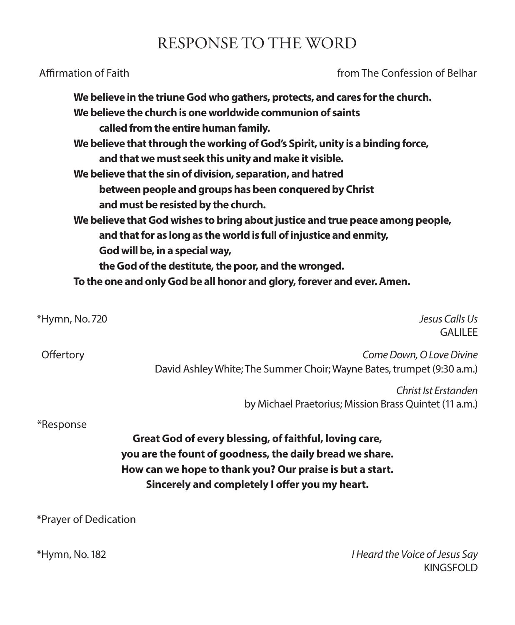## RESPONSE TO THE WORD

Affirmation of Faith **from The Confession of Belhar** from The Confession of Belhar

|                | We believe in the triune God who gathers, protects, and cares for the church.<br>We believe the church is one worldwide communion of saints<br>called from the entire human family.<br>We believe that through the working of God's Spirit, unity is a binding force,<br>and that we must seek this unity and make it visible.<br>We believe that the sin of division, separation, and hatred<br>between people and groups has been conquered by Christ<br>and must be resisted by the church.<br>We believe that God wishes to bring about justice and true peace among people,<br>and that for as long as the world is full of injustice and enmity,<br>God will be, in a special way,<br>the God of the destitute, the poor, and the wronged.<br>To the one and only God be all honor and glory, forever and ever. Amen. |
|----------------|-----------------------------------------------------------------------------------------------------------------------------------------------------------------------------------------------------------------------------------------------------------------------------------------------------------------------------------------------------------------------------------------------------------------------------------------------------------------------------------------------------------------------------------------------------------------------------------------------------------------------------------------------------------------------------------------------------------------------------------------------------------------------------------------------------------------------------|
| *Hymn, No. 720 | Jesus Calls Us<br><b>GALILEE</b>                                                                                                                                                                                                                                                                                                                                                                                                                                                                                                                                                                                                                                                                                                                                                                                            |
| Offertory      | Come Down, O Love Divine<br>David Ashley White; The Summer Choir; Wayne Bates, trumpet (9:30 a.m.)                                                                                                                                                                                                                                                                                                                                                                                                                                                                                                                                                                                                                                                                                                                          |
|                | Christ Ist Erstanden<br>by Michael Praetorius; Mission Brass Quintet (11 a.m.)                                                                                                                                                                                                                                                                                                                                                                                                                                                                                                                                                                                                                                                                                                                                              |

\*Response

**Great God of every blessing, of faithful, loving care, you are the fount of goodness, the daily bread we share. How can we hope to thank you? Our praise is but a start. Sincerely and completely I ofer you my heart.**

\*Prayer of Dedication

\*Hymn, No. 182 *I Heard the Voice of Jesus Say* KINGSFOLD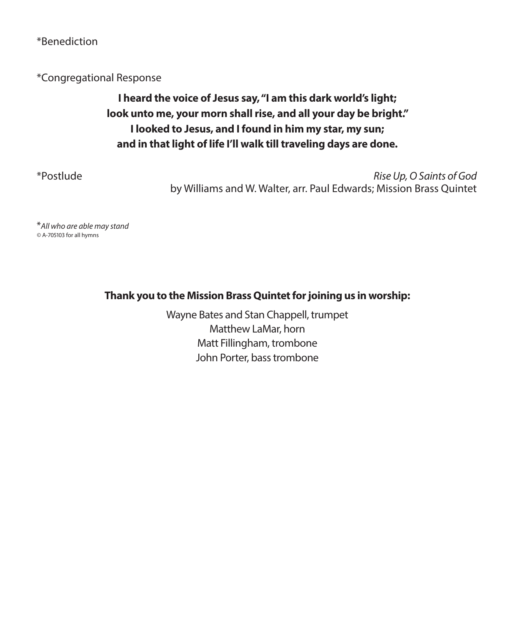\*Benediction

\*Congregational Response

### **I heard the voice of Jesus say, "I am this dark world's light; look unto me, your morn shall rise, and all your day be bright." I looked to Jesus, and I found in him my star, my sun; and in that light of life I'll walk till traveling days are done.**

\*Postlude *Rise Up, O Saints of God*  by Williams and W. Walter, arr. Paul Edwards; Mission Brass Quintet

\**All who are able may stand ©* A-705103 for all hymns

**Thank you to the Mission Brass Quintet for joining us in worship:**

Wayne Bates and Stan Chappell, trumpet Matthew LaMar, horn Matt Fillingham, trombone John Porter, bass trombone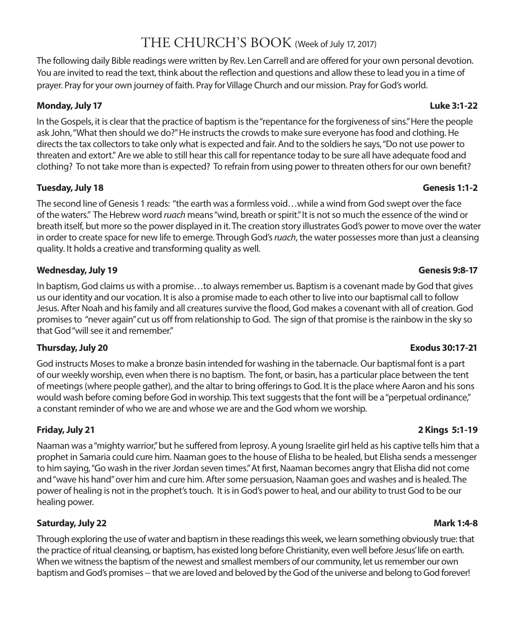## THE CHURCH'S BOOK (Week of July 17, 2017)

The following daily Bible readings were written by Rev. Len Carrell and are ofered for your own personal devotion. You are invited to read the text, think about the refection and questions and allow these to lead you in a time of prayer. Pray for your own journey of faith. Pray for Village Church and our mission. Pray for God's world.

### **Monday, July 17 Luke 3:1-22**

In the Gospels, it is clear that the practice of baptism is the "repentance for the forgiveness of sins." Here the people ask John, "What then should we do?" He instructs the crowds to make sure everyone has food and clothing. He directs the tax collectors to take only what is expected and fair. And to the soldiers he says, "Do not use power to threaten and extort." Are we able to still hear this call for repentance today to be sure all have adequate food and clothing? To not take more than is expected? To refrain from using power to threaten others for our own beneft?

### **Tuesday, July 18 Genesis 1:1-2**

The second line of Genesis 1 reads: "the earth was a formless void…while a wind from God swept over the face of the waters." The Hebrew word *ruach* means "wind, breath or spirit." It is not so much the essence of the wind or breath itself, but more so the power displayed in it. The creation story illustrates God's power to move over the water in order to create space for new life to emerge. Through God's *ruach*, the water possesses more than just a cleansing quality. It holds a creative and transforming quality as well.

### **Wednesday, July 19 Genesis 9:8-17**

In baptism, God claims us with a promise…to always remember us. Baptism is a covenant made by God that gives us our identity and our vocation. It is also a promise made to each other to live into our baptismal call to follow Jesus. After Noah and his family and all creatures survive the food, God makes a covenant with all of creation. God promises to "never again" cut us of from relationship to God. The sign of that promise is the rainbow in the sky so that God "will see it and remember."

### **Thursday, July 20 Exodus 30:17-21**

God instructs Moses to make a bronze basin intended for washing in the tabernacle. Our baptismal font is a part of our weekly worship, even when there is no baptism. The font, or basin, has a particular place between the tent of meetings (where people gather), and the altar to bring oferings to God. It is the place where Aaron and his sons would wash before coming before God in worship. This text suggests that the font will be a "perpetual ordinance," a constant reminder of who we are and whose we are and the God whom we worship.

Naaman was a "mighty warrior," but he sufered from leprosy. A young Israelite girl held as his captive tells him that a prophet in Samaria could cure him. Naaman goes to the house of Elisha to be healed, but Elisha sends a messenger to him saying, "Go wash in the river Jordan seven times." At frst, Naaman becomes angry that Elisha did not come and "wave his hand" over him and cure him. After some persuasion, Naaman goes and washes and is healed. The power of healing is not in the prophet's touch. It is in God's power to heal, and our ability to trust God to be our healing power.

### **Saturday, July 22 Mark 1:4-8**

Through exploring the use of water and baptism in these readings this week, we learn something obviously true: that the practice of ritual cleansing, or baptism, has existed long before Christianity, even well before Jesus' life on earth. When we witness the baptism of the newest and smallest members of our community, let us remember our own baptism and God's promises -- that we are loved and beloved by the God of the universe and belong to God forever!

### **Friday, July 21 2 Kings 5:1-19**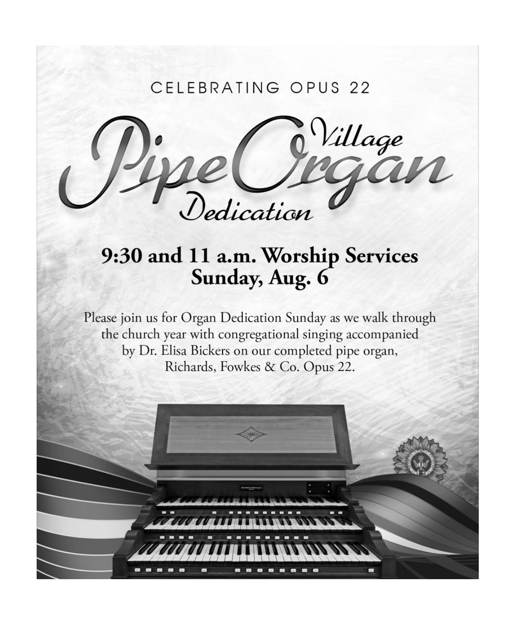## CELEBRATING OPUS 22



# 9:30 and 11 a.m. Worship Services Sunday, Aug. 6

Please join us for Organ Dedication Sunday as we walk through the church year with congregational singing accompanied by Dr. Elisa Bickers on our completed pipe organ, Richards, Fowkes & Co. Opus 22.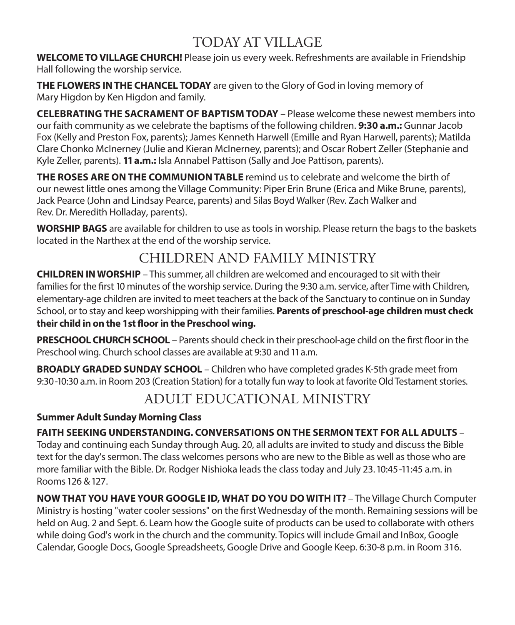## TODAY AT VILLAGE

**WELCOME TO VILLAGE CHURCH!** Please join us every week. Refreshments are available in Friendship Hall following the worship service.

**THE FLOWERS IN THE CHANCEL TODAY** are given to the Glory of God in loving memory of Mary Higdon by Ken Higdon and family.

**CELEBRATING THE SACRAMENT OF BAPTISM TODAY** – Please welcome these newest members into our faith community as we celebrate the baptisms of the following children. **9:30 a.m.:** Gunnar Jacob Fox (Kelly and Preston Fox, parents); James Kenneth Harwell (Emille and Ryan Harwell, parents); Matilda Clare Chonko McInerney (Julie and Kieran McInerney, parents); and Oscar Robert Zeller (Stephanie and Kyle Zeller, parents). **11 a.m.:** Isla Annabel Pattison (Sally and Joe Pattison, parents).

**THE ROSES ARE ON THE COMMUNION TABLE** remind us to celebrate and welcome the birth of our newest little ones among the Village Community: Piper Erin Brune (Erica and Mike Brune, parents), Jack Pearce (John and Lindsay Pearce, parents) and Silas Boyd Walker (Rev. Zach Walker and Rev. Dr. Meredith Holladay, parents).

**WORSHIP BAGS** are available for children to use as tools in worship. Please return the bags to the baskets located in the Narthex at the end of the worship service.

## CHILDREN AND FAMILY MINISTRY

**CHILDREN IN WORSHIP** – This summer, all children are welcomed and encouraged to sit with their families for the frst 10 minutes of the worship service. During the 9:30 a.m. service, after Time with Children, elementary-age children are invited to meet teachers at the back of the Sanctuary to continue on in Sunday School, or to stay and keep worshipping with their families. **Parents of preschool-age children must check their child in on the 1st foor in the Preschool wing.**

**PRESCHOOL CHURCH SCHOOL** – Parents should check in their preschool-age child on the first floor in the Preschool wing. Church school classes are available at 9:30 and 11 a.m.

**BROADLY GRADED SUNDAY SCHOOL** – Children who have completed grades K-5th grade meet from 9:30-10:30 a.m. in Room 203 (Creation Station) for a totally fun way to look at favorite Old Testament stories.

## ADULT EDUCATIONAL MINISTRY

### **Summer Adult Sunday Morning Class**

## **FAITH SEEKING UNDERSTANDING. CONVERSATIONS ON THE SERMON TEXT FOR ALL ADULTS** –

Today and continuing each Sunday through Aug. 20, all adults are invited to study and discuss the Bible text for the day's sermon. The class welcomes persons who are new to the Bible as well as those who are more familiar with the Bible. Dr. Rodger Nishioka leads the class today and July 23. 10:45-11:45 a.m. in Rooms 126 & 127.

**NOW THAT YOU HAVE YOUR GOOGLE ID, WHAT DO YOU DO WITH IT?** – The Village Church Computer Ministry is hosting "water cooler sessions" on the frst Wednesday of the month. Remaining sessions will be held on Aug. 2 and Sept. 6. Learn how the Google suite of products can be used to collaborate with others while doing God's work in the church and the community. Topics will include Gmail and InBox, Google Calendar, Google Docs, Google Spreadsheets, Google Drive and Google Keep. 6:30-8 p.m. in Room 316.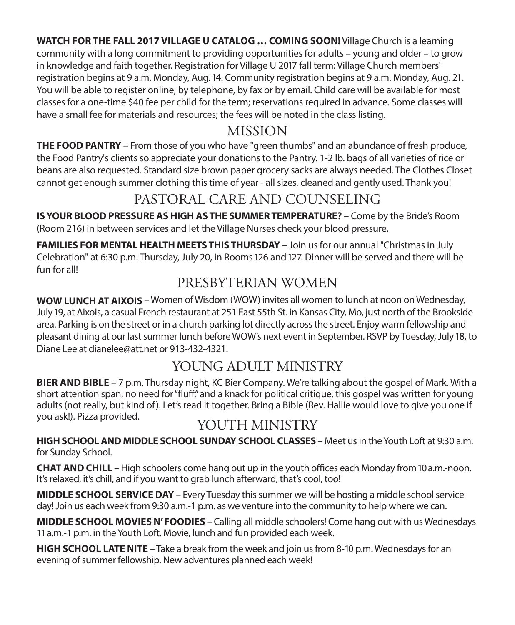**WATCH FOR THE FALL 2017 VILLAGE U CATALOG … COMING SOON!** Village Church is a learning community with a long commitment to providing opportunities for adults – young and older – to grow in knowledge and faith together. Registration for Village U 2017 fall term: Village Church members' registration begins at 9 a.m. Monday, Aug. 14. Community registration begins at 9 a.m. Monday, Aug. 21. You will be able to register online, by telephone, by fax or by email. Child care will be available for most classes for a one-time \$40 fee per child for the term; reservations required in advance. Some classes will have a small fee for materials and resources; the fees will be noted in the class listing.

### MISSION

**THE FOOD PANTRY** – From those of you who have "green thumbs" and an abundance of fresh produce, the Food Pantry's clients so appreciate your donations to the Pantry. 1-2 lb. bags of all varieties of rice or beans are also requested. Standard size brown paper grocery sacks are always needed. The Clothes Closet cannot get enough summer clothing this time of year - all sizes, cleaned and gently used. Thank you!

## PASTORAL CARE AND COUNSELING

**IS YOUR BLOOD PRESSURE AS HIGH AS THE SUMMER TEMPERATURE?** – Come by the Bride's Room (Room 216) in between services and let the Village Nurses check your blood pressure.

FAMILIES FOR MENTAL HEALTH MEETS THIS THURSDAY - Join us for our annual "Christmas in July Celebration" at 6:30 p.m. Thursday, July 20, in Rooms 126 and 127. Dinner will be served and there will be fun for all!

## PRESBYTERIAN WOMEN

**WOW LUNCH AT AIXOIS** – Women of Wisdom (WOW) invites all women to lunch at noon on Wednesday, July 19, at Aixois, a casual French restaurant at 251 East 55th St. in Kansas City, Mo, just north of the Brookside area. Parking is on the street or in a church parking lot directly across the street. Enjoy warm fellowship and pleasant dining at our last summer lunch before WOW's next event in September. RSVP by Tuesday, July 18, to Diane Lee at dianelee@att.net or 913-432-4321.

## YOUNG ADULT MINISTRY

**BIER AND BIBLE** – 7 p.m. Thursday night, KC Bier Company. We're talking about the gospel of Mark. With a short attention span, no need for "fuf," and a knack for political critique, this gospel was written for young adults (not really, but kind of). Let's read it together. Bring a Bible (Rev. Hallie would love to give you one if you ask!). Pizza provided.

## YOUTH MINISTRY

**HIGH SCHOOL AND MIDDLE SCHOOL SUNDAY SCHOOL CLASSES – Meet us in the Youth Loft at 9:30 a.m.** for Sunday School.

**CHAT AND CHILL** – High schoolers come hang out up in the youth offices each Monday from 10 a.m.-noon. It's relaxed, it's chill, and if you want to grab lunch afterward, that's cool, too!

**MIDDLE SCHOOL SERVICE DAY** – Every Tuesday this summer we will be hosting a middle school service day! Join us each week from 9:30 a.m.-1 p.m. as we venture into the community to help where we can.

**MIDDLE SCHOOL MOVIES N' FOODIES** – Calling all middle schoolers! Come hang out with us Wednesdays 11 a.m.-1 p.m. in the Youth Loft. Movie, lunch and fun provided each week.

**HIGH SCHOOL LATE NITE** – Take a break from the week and join us from 8-10 p.m. Wednesdays for an evening of summer fellowship. New adventures planned each week!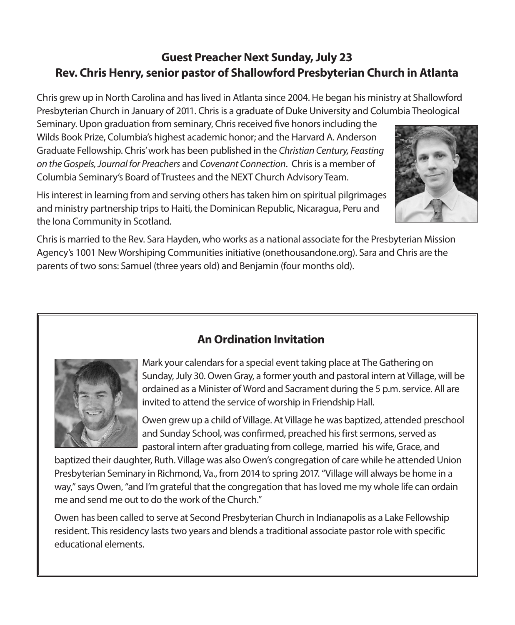### **Guest Preacher Next Sunday, July 23 Rev. Chris Henry, senior pastor of Shallowford Presbyterian Church in Atlanta**

Chris grew up in North Carolina and has lived in Atlanta since 2004. He began his ministry at Shallowford Presbyterian Church in January of 2011. Chris is a graduate of Duke University and Columbia Theological

Seminary. Upon graduation from seminary, Chris received fve honors including the Wilds Book Prize, Columbia's highest academic honor; and the Harvard A. Anderson Graduate Fellowship. Chris' work has been published in the *Christian Century, Feasting on the Gospels, Journal for Preachers* and *Covenant Connection*. Chris is a member of Columbia Seminary's Board of Trustees and the NEXT Church Advisory Team.

His interest in learning from and serving others has taken him on spiritual pilgrimages and ministry partnership trips to Haiti, the Dominican Republic, Nicaragua, Peru and the Iona Community in Scotland.



Chris is married to the Rev. Sara Hayden, who works as a national associate for the Presbyterian Mission Agency's 1001 New Worshiping Communities initiative (onethousandone.org). Sara and Chris are the parents of two sons: Samuel (three years old) and Benjamin (four months old).



Mark your calendars for a special event taking place at The Gathering on Sunday, July 30. Owen Gray, a former youth and pastoral intern at Village, will be ordained as a Minister of Word and Sacrament during the 5 p.m. service. All are invited to attend the service of worship in Friendship Hall.

Owen grew up a child of Village. At Village he was baptized, attended preschool and Sunday School, was confirmed, preached his first sermons, served as pastoral intern after graduating from college, married his wife, Grace, and

baptized their daughter, Ruth. Village was also Owen's congregation of care while he attended Union Presbyterian Seminary in Richmond, Va., from 2014 to spring 2017. "Village will always be home in a way," says Owen, "and I'm grateful that the congregation that has loved me my whole life can ordain me and send me out to do the work of the Church."

Owen has been called to serve at Second Presbyterian Church in Indianapolis as a Lake Fellowship resident. This residency lasts two years and blends a traditional associate pastor role with specific educational elements.

### **An Ordination Invitation**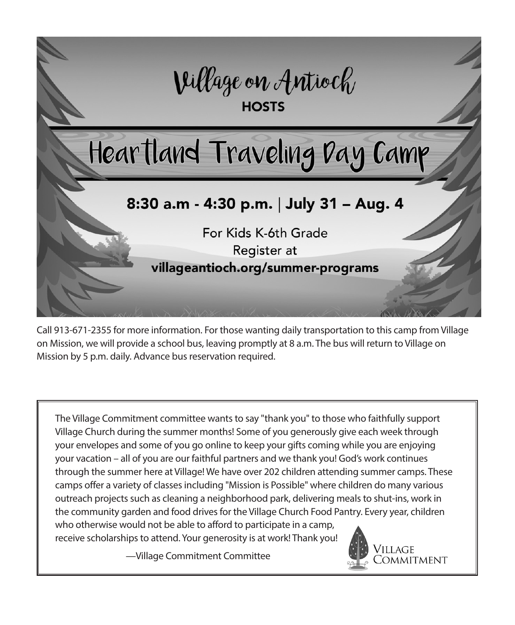

Call 913-671-2355 for more information. For those wanting daily transportation to this camp from Village on Mission, we will provide a school bus, leaving promptly at 8 a.m. The bus will return to Village on Mission by 5 p.m. daily. Advance bus reservation required.

The Village Commitment committee wants to say "thank you" to those who faithfully support Village Church during the summer months! Some of you generously give each week through your envelopes and some of you go online to keep your gifts coming while you are enjoying your vacation – all of you are our faithful partners and we thank you! God's work continues through the summer here at Village! We have over 202 children attending summer camps. These camps offer a variety of classes including "Mission is Possible" where children do many various outreach projects such as cleaning a neighborhood park, delivering meals to shut-ins, work in the community garden and food drives for the Village Church Food Pantry. Every year, children who otherwise would not be able to afford to participate in a camp, receive scholarships to attend. Your generosity is at work! Thank you!

—Village Commitment Committee